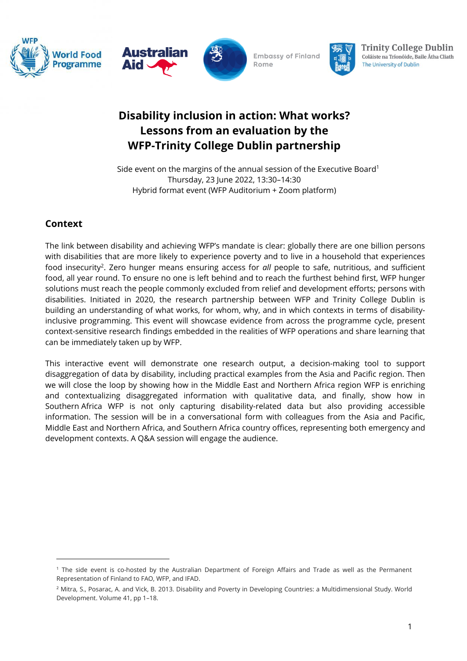





**Embassy of Finland** Rome



**Trinity College Dublin** Coláiste na Tríonóide, Baile Átha Cliath The University of Dublin

# **Disability inclusion in action: What works? Lessons from an evaluation by the WFP-Trinity College Dublin partnership**

Side event on the margins of the annual session of the Executive Board<sup>1</sup> Thursday, 23 June 2022, 13:30–14:30 Hybrid format event (WFP Auditorium + Zoom platform)

# **Context**

The link between disability and achieving WFP's mandate is clear: globally there are one billion persons with disabilities that are more likely to experience poverty and to live in a household that experiences food insecurity<sup>2</sup>. Zero hunger means ensuring access for all people to safe, nutritious, and sufficient food, all year round. To ensure no one is left behind and to reach the furthest behind first, WFP hunger solutions must reach the people commonly excluded from relief and development efforts; persons with disabilities. Initiated in 2020, the research partnership between WFP and Trinity College Dublin is building an understanding of what works, for whom, why, and in which contexts in terms of disabilityinclusive programming. This event will showcase evidence from across the programme cycle, present context-sensitive research findings embedded in the realities of WFP operations and share learning that can be immediately taken up by WFP.

This interactive event will demonstrate one research output, a decision-making tool to support disaggregation of data by disability, including practical examples from the Asia and Pacific region. Then we will close the loop by showing how in the Middle East and Northern Africa region WFP is enriching and contextualizing disaggregated information with qualitative data, and finally, show how in Southern Africa WFP is not only capturing disability-related data but also providing accessible information. The session will be in a conversational form with colleagues from the Asia and Pacific, Middle East and Northern Africa, and Southern Africa country offices, representing both emergency and development contexts. A Q&A session will engage the audience.

<sup>&</sup>lt;sup>1</sup> The side event is co-hosted by the Australian Department of Foreign Affairs and Trade as well as the Permanent Representation of Finland to FAO, WFP, and IFAD.

<sup>&</sup>lt;sup>2</sup> Mitra, S., Posarac, A. and Vick, B. 2013. Disability and Poverty in Developing Countries: a Multidimensional Study. World Development. Volume 41, pp 1–18.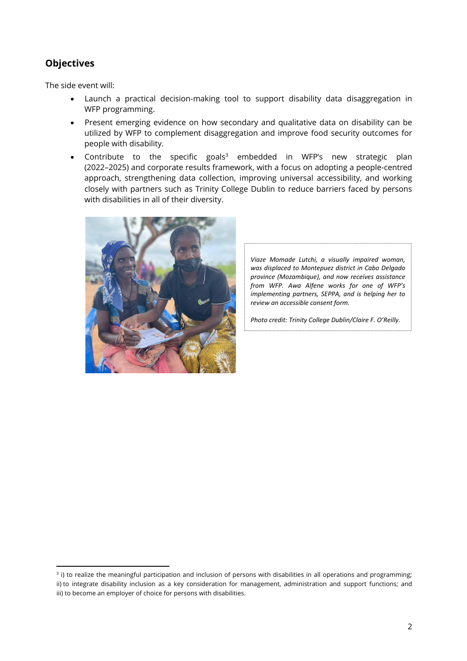## **Objectives**

The side event will:

- Launch a practical decision-making tool to support disability data disaggregation in WFP programming.
- Present emerging evidence on how secondary and qualitative data on disability can be utilized by WFP to complement disaggregation and improve food security outcomes for people with disability.
- Contribute to the specific goals<sup>3</sup> embedded in WFP's new strategic plan (2022–2025) and corporate results framework, with a focus on adopting a people-centred approach, strengthening data collection, improving universal accessibility, and working closely with partners such as Trinity College Dublin to reduce barriers faced by persons with disabilities in all of their diversity.



*Viaze Momade Lutchi, a visually impaired woman, was displaced to Montepuez district in Cabo Delgado province (Mozambique), and now receives assistance from WFP. Awa Alfene works for one of WFP's implementing partners, SEPPA, and is helping her to review an accessible consent form.*

*Photo credit: Trinity College Dublin/Claire F. O'Reilly.*

<sup>&</sup>lt;sup>3</sup> i) to realize the meaningful participation and inclusion of persons with disabilities in all operations and programming; ii) to integrate disability inclusion as a key consideration for management, administration and support functions; and iii) to become an employer of choice for persons with disabilities.